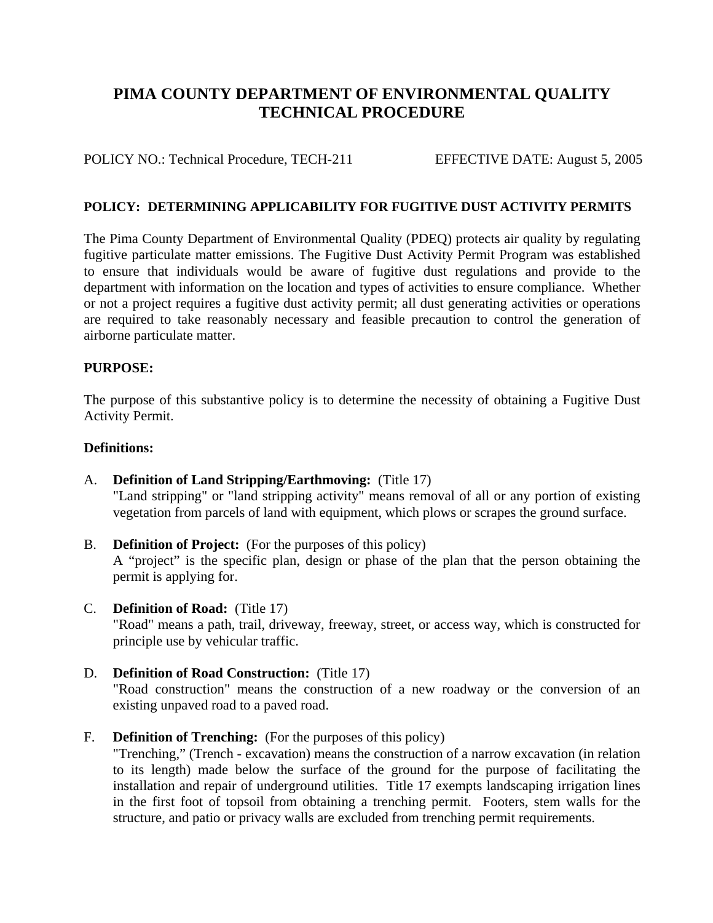# **PIMA COUNTY DEPARTMENT OF ENVIRONMENTAL QUALITY TECHNICAL PROCEDURE**

POLICY NO.: Technical Procedure, TECH-211 EFFECTIVE DATE: August 5, 2005

### **POLICY: DETERMINING APPLICABILITY FOR FUGITIVE DUST ACTIVITY PERMITS**

The Pima County Department of Environmental Quality (PDEQ) protects air quality by regulating fugitive particulate matter emissions. The Fugitive Dust Activity Permit Program was established to ensure that individuals would be aware of fugitive dust regulations and provide to the department with information on the location and types of activities to ensure compliance. Whether or not a project requires a fugitive dust activity permit; all dust generating activities or operations are required to take reasonably necessary and feasible precaution to control the generation of airborne particulate matter.

#### **PURPOSE:**

The purpose of this substantive policy is to determine the necessity of obtaining a Fugitive Dust Activity Permit.

#### **Definitions:**

- A. **Definition of Land Stripping/Earthmoving:** (Title 17) "Land stripping" or "land stripping activity" means removal of all or any portion of existing vegetation from parcels of land with equipment, which plows or scrapes the ground surface.
- B. **Definition of Project:** (For the purposes of this policy) A "project" is the specific plan, design or phase of the plan that the person obtaining the permit is applying for.
- C. **Definition of Road:** (Title 17) "Road" means a path, trail, driveway, freeway, street, or access way, which is constructed for principle use by vehicular traffic.
- D. **Definition of Road Construction:** (Title 17) "Road construction" means the construction of a new roadway or the conversion of an existing unpaved road to a paved road.
- F. **Definition of Trenching:** (For the purposes of this policy)

 "Trenching," (Trench - excavation) means the construction of a narrow excavation (in relation to its length) made below the surface of the ground for the purpose of facilitating the installation and repair of underground utilities. Title 17 exempts landscaping irrigation lines in the first foot of topsoil from obtaining a trenching permit. Footers, stem walls for the structure, and patio or privacy walls are excluded from trenching permit requirements.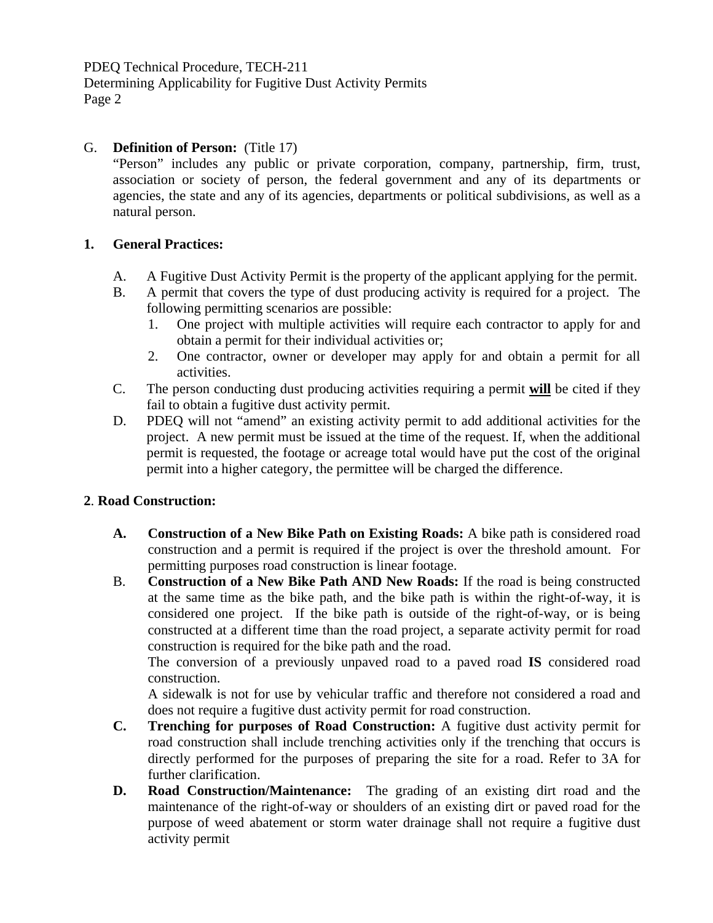PDEQ Technical Procedure, TECH-211 Determining Applicability for Fugitive Dust Activity Permits Page 2

# G. **Definition of Person:** (Title 17)

 "Person" includes any public or private corporation, company, partnership, firm, trust, association or society of person, the federal government and any of its departments or agencies, the state and any of its agencies, departments or political subdivisions, as well as a natural person.

## **1. General Practices:**

- A. A Fugitive Dust Activity Permit is the property of the applicant applying for the permit.
- B. A permit that covers the type of dust producing activity is required for a project. The following permitting scenarios are possible:
	- 1. One project with multiple activities will require each contractor to apply for and obtain a permit for their individual activities or;
	- 2. One contractor, owner or developer may apply for and obtain a permit for all activities.
- C. The person conducting dust producing activities requiring a permit **will** be cited if they fail to obtain a fugitive dust activity permit.
- D. PDEQ will not "amend" an existing activity permit to add additional activities for the project. A new permit must be issued at the time of the request. If, when the additional permit is requested, the footage or acreage total would have put the cost of the original permit into a higher category, the permittee will be charged the difference.

# **2**. **Road Construction:**

- **A. Construction of a New Bike Path on Existing Roads:** A bike path is considered road construction and a permit is required if the project is over the threshold amount. For permitting purposes road construction is linear footage.
- B. **Construction of a New Bike Path AND New Roads:** If the road is being constructed at the same time as the bike path, and the bike path is within the right-of-way, it is considered one project. If the bike path is outside of the right-of-way, or is being constructed at a different time than the road project, a separate activity permit for road construction is required for the bike path and the road.

 The conversion of a previously unpaved road to a paved road **IS** considered road construction.

 A sidewalk is not for use by vehicular traffic and therefore not considered a road and does not require a fugitive dust activity permit for road construction.

- **C. Trenching for purposes of Road Construction:** A fugitive dust activity permit for road construction shall include trenching activities only if the trenching that occurs is directly performed for the purposes of preparing the site for a road. Refer to 3A for further clarification.
- **D. Road Construction/Maintenance:** The grading of an existing dirt road and the maintenance of the right-of-way or shoulders of an existing dirt or paved road for the purpose of weed abatement or storm water drainage shall not require a fugitive dust activity permit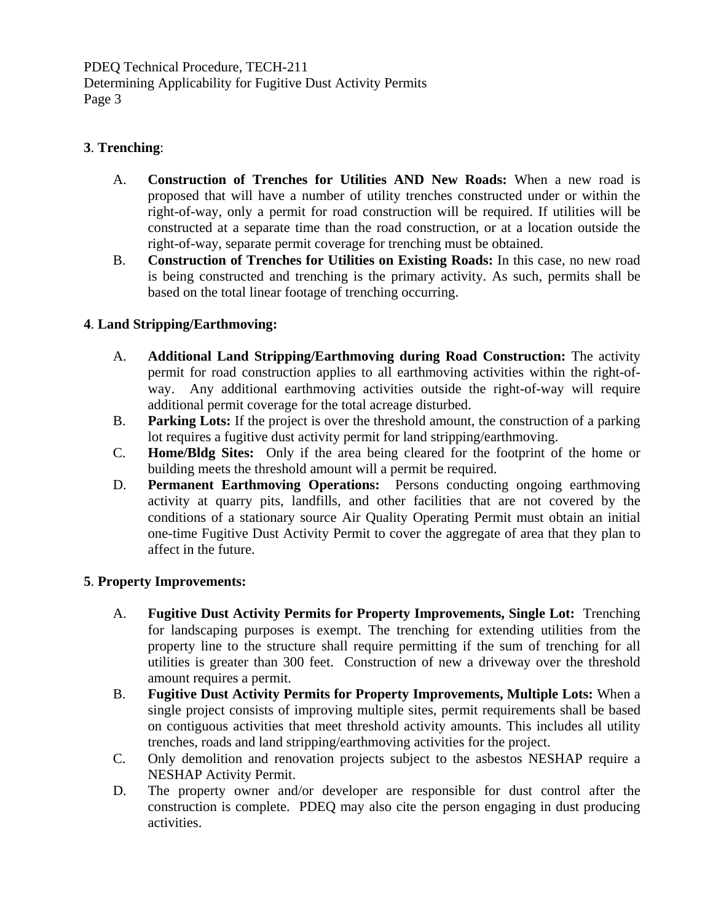PDEQ Technical Procedure, TECH-211 Determining Applicability for Fugitive Dust Activity Permits Page 3

# **3**. **Trenching**:

- A. **Construction of Trenches for Utilities AND New Roads:** When a new road is proposed that will have a number of utility trenches constructed under or within the right-of-way, only a permit for road construction will be required. If utilities will be constructed at a separate time than the road construction, or at a location outside the right-of-way, separate permit coverage for trenching must be obtained.
- B. **Construction of Trenches for Utilities on Existing Roads:** In this case, no new road is being constructed and trenching is the primary activity. As such, permits shall be based on the total linear footage of trenching occurring.

# **4**. **Land Stripping/Earthmoving:**

- A. **Additional Land Stripping/Earthmoving during Road Construction:** The activity permit for road construction applies to all earthmoving activities within the right-ofway. Any additional earthmoving activities outside the right-of-way will require additional permit coverage for the total acreage disturbed.
- B. **Parking Lots:** If the project is over the threshold amount, the construction of a parking lot requires a fugitive dust activity permit for land stripping/earthmoving.
- C. **Home/Bldg Sites:** Only if the area being cleared for the footprint of the home or building meets the threshold amount will a permit be required.
- D. **Permanent Earthmoving Operations:** Persons conducting ongoing earthmoving activity at quarry pits, landfills, and other facilities that are not covered by the conditions of a stationary source Air Quality Operating Permit must obtain an initial one-time Fugitive Dust Activity Permit to cover the aggregate of area that they plan to affect in the future.

## **5**. **Property Improvements:**

- A. **Fugitive Dust Activity Permits for Property Improvements, Single Lot:** Trenching for landscaping purposes is exempt. The trenching for extending utilities from the property line to the structure shall require permitting if the sum of trenching for all utilities is greater than 300 feet. Construction of new a driveway over the threshold amount requires a permit.
- B. **Fugitive Dust Activity Permits for Property Improvements, Multiple Lots:** When a single project consists of improving multiple sites, permit requirements shall be based on contiguous activities that meet threshold activity amounts. This includes all utility trenches, roads and land stripping/earthmoving activities for the project.
- C. Only demolition and renovation projects subject to the asbestos NESHAP require a NESHAP Activity Permit.
- D. The property owner and/or developer are responsible for dust control after the construction is complete. PDEQ may also cite the person engaging in dust producing activities.